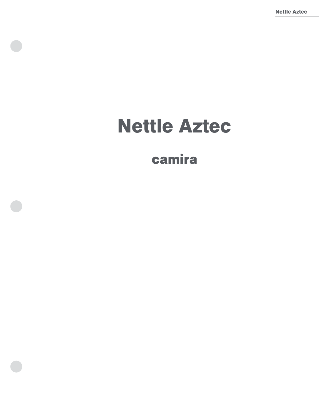Nettle Aztec

# Nettle Aztec

## camira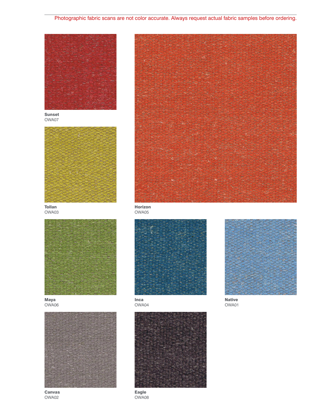## Photographic fabric scans are not color accurate. Always request actual fabric samples before ordering.



OWA07



OWA03



Maya OWA06



Canvas OWA02



OWA05





OWA04



OWA01

Eagle OWA08